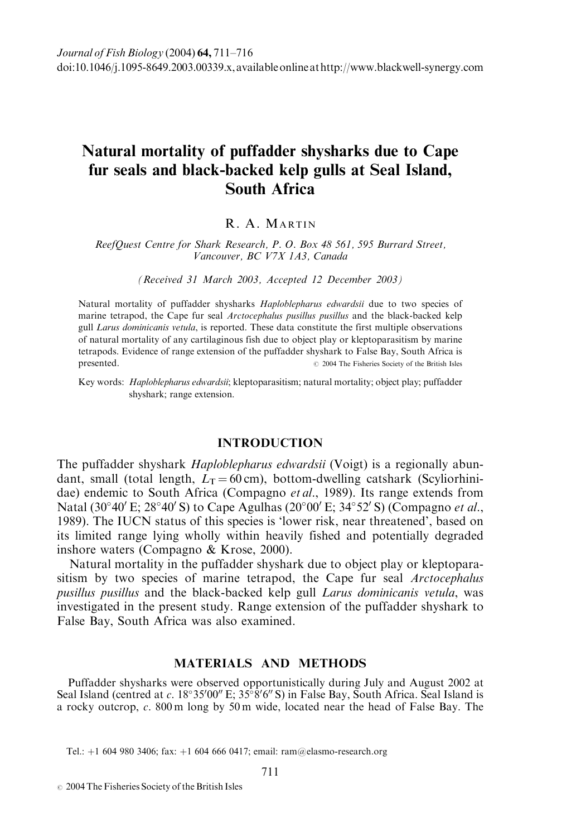# Natural mortality of puffadder shysharks due to Cape fur seals and black-backed kelp gulls at Seal Island, South Africa

# R. A. MARTIN

ReefQuest Centre for Shark Research, P. O. Box 48 561, 595 Burrard Street, Vancouver, BC V7X 1A3, Canada

(Received 31 March 2003, Accepted 12 December 2003)

Natural mortality of puffadder shysharks *Haploblepharus edwardsii* due to two species of marine tetrapod, the Cape fur seal *Arctocephalus pusillus pusillus* and the black-backed kelp gull Larus dominicanis vetula, is reported. These data constitute the first multiple observations of natural mortality of any cartilaginous fish due to object play or kleptoparasitism by marine tetrapods. Evidence of range extension of the puffadder shyshark to False Bay, South Africa is presented.  $\oslash$  2004 The Fisheries Society of the British Isles

Key words: Haploblepharus edwardsii; kleptoparasitism; natural mortality; object play; puffadder shyshark; range extension.

## INTRODUCTION

The puffadder shyshark *Haploblepharus edwardsii* (Voigt) is a regionally abundant, small (total length,  $L_T = 60 \text{ cm}$ ), bottom-dwelling catshark (Scyliorhinidae) endemic to South Africa (Compagno et al., 1989). Its range extends from Natal (30°40' E; 28°40' S) to Cape Agulhas (20°00' E; 34°52' S) (Compagno et al., 1989). The IUCN status of this species is 'lower risk, near threatened', based on its limited range lying wholly within heavily fished and potentially degraded inshore waters (Compagno & Krose, 2000).

Natural mortality in the puffadder shyshark due to object play or kleptoparasitism by two species of marine tetrapod, the Cape fur seal Arctocephalus pusillus pusillus and the black-backed kelp gull Larus dominicanis vetula, was investigated in the present study. Range extension of the puffadder shyshark to False Bay, South Africa was also examined.

## MATERIALS AND METHODS

Puffadder shysharks were observed opportunistically during July and August 2002 at Seal Island (centred at c.  $18^{\circ}35'00''$  E;  $35^{\circ}8'6''$  S) in False Bay, South Africa. Seal Island is a rocky outcrop, c. 800 m long by 50 m wide, located near the head of False Bay. The

Tel.: +1 604 980 3406; fax: +1 604 666 0417; email: ram@elasmo-research.org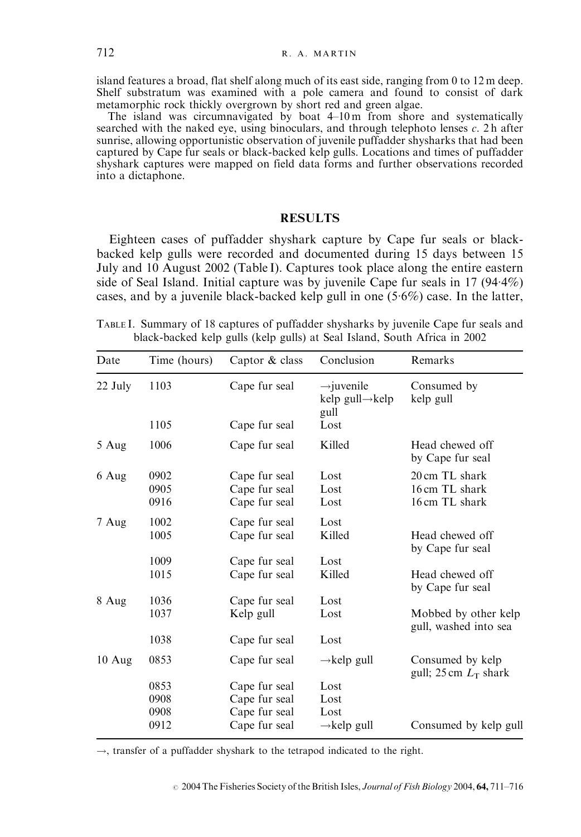island features a broad, flat shelf along much of its east side, ranging from 0 to 12 m deep. Shelf substratum was examined with a pole camera and found to consist of dark metamorphic rock thickly overgrown by short red and green algae.

The island was circumnavigated by boat 4–10 m from shore and systematically searched with the naked eye, using binoculars, and through telephoto lenses  $c$ . 2 h after sunrise, allowing opportunistic observation of juvenile puffadder shysharks that had been captured by Cape fur seals or black-backed kelp gulls. Locations and times of puffadder shyshark captures were mapped on field data forms and further observations recorded into a dictaphone.

#### RESULTS

Eighteen cases of puffadder shyshark capture by Cape fur seals or blackbacked kelp gulls were recorded and documented during 15 days between 15 July and 10 August 2002 (Table I). Captures took place along the entire eastern side of Seal Island. Initial capture was by juvenile Cape fur seals in 17 (944%) cases, and by a juvenile black-backed kelp gull in one  $(5.6\%)$  case. In the latter,

TABLE I. Summary of 18 captures of puffadder shysharks by juvenile Cape fur seals and black-backed kelp gulls (kelp gulls) at Seal Island, South Africa in 2002

| Date    | Time (hours) | Captor & class | Conclusion                                       | Remarks                                       |
|---------|--------------|----------------|--------------------------------------------------|-----------------------------------------------|
| 22 July | 1103         | Cape fur seal  | $\rightarrow$ juvenile<br>kelp gull→kelp<br>gull | Consumed by<br>kelp gull                      |
|         | 1105         | Cape fur seal  | Lost                                             |                                               |
| 5 Aug   | 1006         | Cape fur seal  | Killed                                           | Head chewed off<br>by Cape fur seal           |
| 6 Aug   | 0902         | Cape fur seal  | Lost                                             | 20 cm TL shark                                |
|         | 0905         | Cape fur seal  | Lost                                             | 16 cm TL shark                                |
|         | 0916         | Cape fur seal  | Lost                                             | 16 cm TL shark                                |
| 7 Aug   | 1002         | Cape fur seal  | Lost                                             |                                               |
|         | 1005         | Cape fur seal  | Killed                                           | Head chewed off<br>by Cape fur seal           |
|         | 1009         | Cape fur seal  | Lost                                             |                                               |
|         | 1015         | Cape fur seal  | Killed                                           | Head chewed off<br>by Cape fur seal           |
| 8 Aug   | 1036         | Cape fur seal  | Lost                                             |                                               |
|         | 1037         | Kelp gull      | Lost                                             | Mobbed by other kelp<br>gull, washed into sea |
|         | 1038         | Cape fur seal  | Lost                                             |                                               |
| 10 Aug  | 0853         | Cape fur seal  | $\rightarrow$ kelp gull                          | Consumed by kelp<br>gull; 25 cm $L_T$ shark   |
|         | 0853         | Cape fur seal  | Lost                                             |                                               |
|         | 0908         | Cape fur seal  | Lost                                             |                                               |
|         | 0908         | Cape fur seal  | Lost                                             |                                               |
|         | 0912         | Cape fur seal  | $\rightarrow$ kelp gull                          | Consumed by kelp gull                         |

 $\rightarrow$ , transfer of a puffadder shyshark to the tetrapod indicated to the right.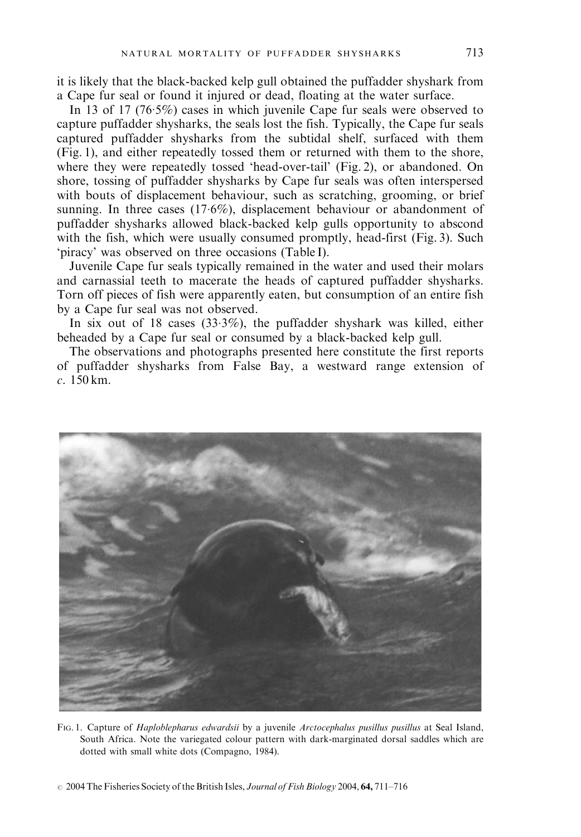it is likely that the black-backed kelp gull obtained the puffadder shyshark from a Cape fur seal or found it injured or dead, floating at the water surface.

In 13 of 17 (765%) cases in which juvenile Cape fur seals were observed to capture puffadder shysharks, the seals lost the fish. Typically, the Cape fur seals captured puffadder shysharks from the subtidal shelf, surfaced with them (Fig. 1), and either repeatedly tossed them or returned with them to the shore, where they were repeatedly tossed 'head-over-tail' (Fig. 2), or abandoned. On shore, tossing of puffadder shysharks by Cape fur seals was often interspersed with bouts of displacement behaviour, such as scratching, grooming, or brief sunning. In three cases (176%), displacement behaviour or abandonment of puffadder shysharks allowed black-backed kelp gulls opportunity to abscond with the fish, which were usually consumed promptly, head-first (Fig. 3). Such 'piracy' was observed on three occasions (Table I).

Juvenile Cape fur seals typically remained in the water and used their molars and carnassial teeth to macerate the heads of captured puffadder shysharks. Torn off pieces of fish were apparently eaten, but consumption of an entire fish by a Cape fur seal was not observed.

In six out of 18 cases  $(33.3\%)$ , the puffadder shyshark was killed, either beheaded by a Cape fur seal or consumed by a black-backed kelp gull.

The observations and photographs presented here constitute the first reports of puffadder shysharks from False Bay, a westward range extension of c. 150 km.



FIG. 1. Capture of *Haploblepharus edwardsii* by a juvenile *Arctocephalus pusillus pusillus* at Seal Island, South Africa. Note the variegated colour pattern with dark-marginated dorsal saddles which are dotted with small white dots (Compagno, 1984).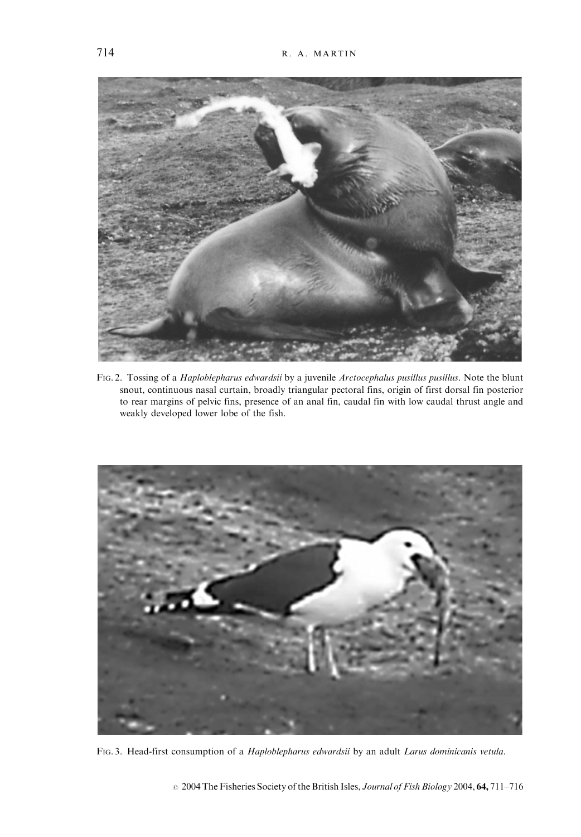

FIG. 2. Tossing of a Haploblepharus edwardsii by a juvenile Arctocephalus pusillus pusillus. Note the blunt snout, continuous nasal curtain, broadly triangular pectoral fins, origin of first dorsal fin posterior to rear margins of pelvic fins, presence of an anal fin, caudal fin with low caudal thrust angle and weakly developed lower lobe of the fish.



FIG. 3. Head-first consumption of a Haploblepharus edwardsii by an adult Larus dominicanis vetula.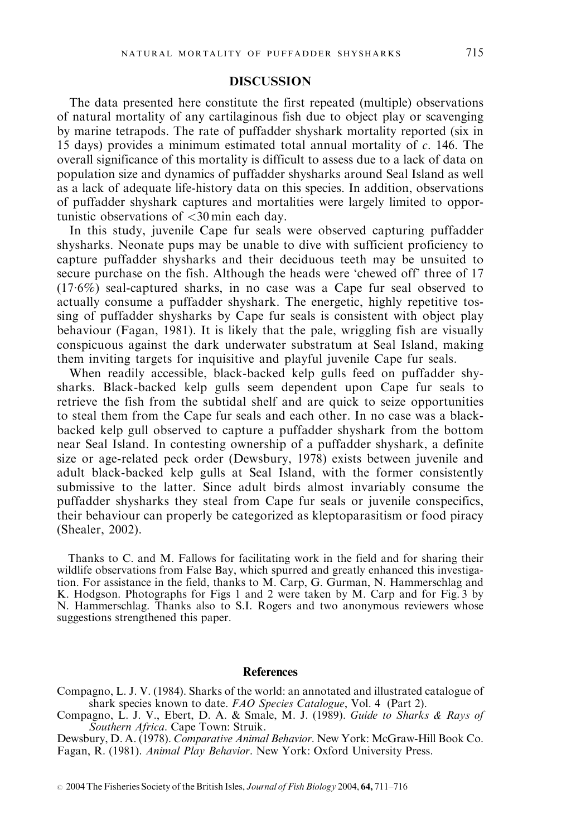### **DISCUSSION**

The data presented here constitute the first repeated (multiple) observations of natural mortality of any cartilaginous fish due to object play or scavenging by marine tetrapods. The rate of puffadder shyshark mortality reported (six in 15 days) provides a minimum estimated total annual mortality of  $c$ . 146. The overall significance of this mortality is difficult to assess due to a lack of data on population size and dynamics of puffadder shysharks around Seal Island as well as a lack of adequate life-history data on this species. In addition, observations of puffadder shyshark captures and mortalities were largely limited to opportunistic observations of <30 min each day.

In this study, juvenile Cape fur seals were observed capturing puffadder shysharks. Neonate pups may be unable to dive with sufficient proficiency to capture puffadder shysharks and their deciduous teeth may be unsuited to secure purchase on the fish. Although the heads were 'chewed off' three of 17 (176%) seal-captured sharks, in no case was a Cape fur seal observed to actually consume a puffadder shyshark. The energetic, highly repetitive tossing of puffadder shysharks by Cape fur seals is consistent with object play behaviour (Fagan, 1981). It is likely that the pale, wriggling fish are visually conspicuous against the dark underwater substratum at Seal Island, making them inviting targets for inquisitive and playful juvenile Cape fur seals.

When readily accessible, black-backed kelp gulls feed on puffadder shysharks. Black-backed kelp gulls seem dependent upon Cape fur seals to retrieve the fish from the subtidal shelf and are quick to seize opportunities to steal them from the Cape fur seals and each other. In no case was a blackbacked kelp gull observed to capture a puffadder shyshark from the bottom near Seal Island. In contesting ownership of a puffadder shyshark, a definite size or age-related peck order (Dewsbury, 1978) exists between juvenile and adult black-backed kelp gulls at Seal Island, with the former consistently submissive to the latter. Since adult birds almost invariably consume the puffadder shysharks they steal from Cape fur seals or juvenile conspecifics, their behaviour can properly be categorized as kleptoparasitism or food piracy (Shealer, 2002).

Thanks to C. and M. Fallows for facilitating work in the field and for sharing their wildlife observations from False Bay, which spurred and greatly enhanced this investigation. For assistance in the field, thanks to M. Carp, G. Gurman, N. Hammerschlag and K. Hodgson. Photographs for Figs 1 and 2 were taken by M. Carp and for Fig. 3 by N. Hammerschlag. Thanks also to S.I. Rogers and two anonymous reviewers whose suggestions strengthened this paper.

#### References

Dewsbury, D. A. (1978). Comparative Animal Behavior. New York: McGraw-Hill Book Co. Fagan, R. (1981). Animal Play Behavior. New York: Oxford University Press.

 $\degree$  2004 The Fisheries Society of the British Isles, *Journal of Fish Biology* 2004, 64, 711–716

Compagno, L. J. V. (1984). Sharks of the world: an annotated and illustrated catalogue of shark species known to date. FAO Species Catalogue, Vol. 4 (Part 2).

Compagno, L. J. V., Ebert, D. A. & Smale, M. J. (1989). Guide to Sharks & Rays of Southern Africa. Cape Town: Struik.